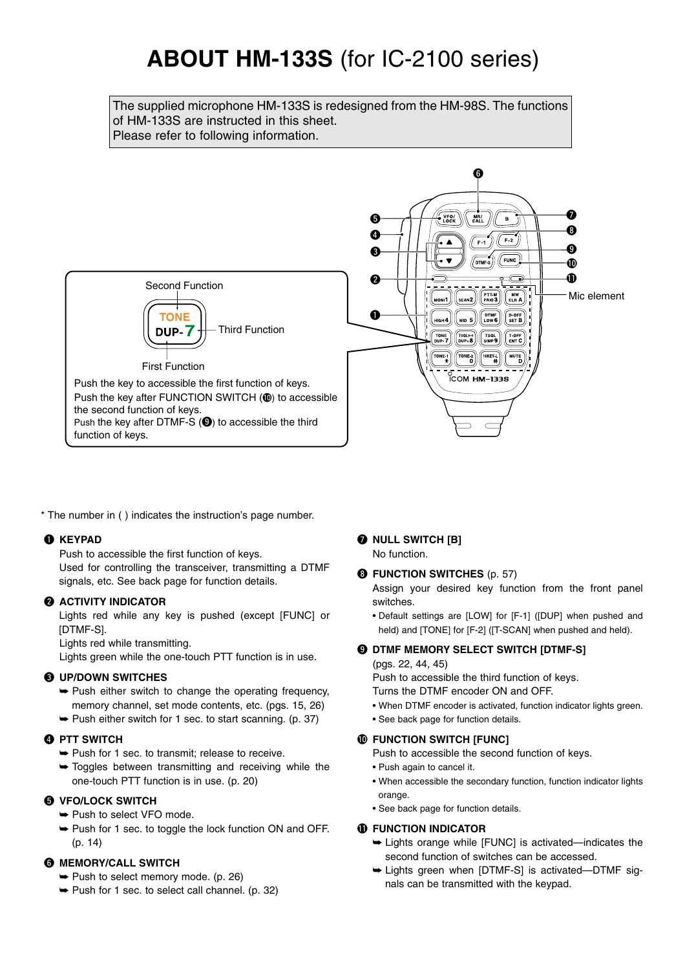# **ABOUT HM-133S** (for IC-2100 series)

The supplied microphone HM-133S is redesigned from the HM-98S. The functions of HM-133S are instructed in this sheet. Please refer to following information.



\* The number in ( ) indicates the instruction's page number.

## q **KEYPAD**

Push to accessible the first function of keys.

Used for controlling the transceiver, transmitting a DTMF signals, etc. See back page for function details.

#### **@ ACTIVITY INDICATOR**

Lights red while any key is pushed (except [FUNC] or [DTMF-S].

Lights red while transmitting.

Lights green while the one-touch PTT function is in use.

#### e **UP/DOWN SWITCHES**

- $\rightarrow$  Push either switch to change the operating frequency, memory channel, set mode contents, etc. (pgs. 15, 26)
- $\rightarrow$  Push either switch for 1 sec. to start scanning. (p. 37)

#### **@ PTT SWITCH**

- ➥ Push for 1 sec. to transmit; release to receive.
- $\rightarrow$  Toggles between transmitting and receiving while the one-touch PTT function is in use. (p. 20)

## **6** VFO/LOCK SWITCH

- ➥ Push to select VFO mode.
- ➥ Push for 1 sec. to toggle the lock function ON and OFF. (p. 14)

## **6 MEMORY/CALL SWITCH**

- ➥ Push to select memory mode. (p. 26)
- $\rightarrow$  Push for 1 sec. to select call channel. (p. 32)

## $\odot$  NULL SWITCH [B]

No function.

## **<sup>6</sup>** FUNCTION SWITCHES (p. 57)

Assign your desired key function from the front panel switches.

• Default settings are [LOW] for [F-1] ([DUP] when pushed and held) and [TONE] for [F-2] ([T-SCAN] when pushed and held).

## o **DTMF MEMORY SELECT SWITCH [DTMF-S]**

#### (pgs. 22, 44, 45)

Push to accessible the third function of keys.

- Turns the DTMF encoder ON and OFF.
- When DTMF encoder is activated, function indicator lights green.
- See back page for function details.

## $\Phi$  **FUNCTION SWITCH [FUNC]**

Push to accessible the second function of keys.

- Push again to cancel it.
- When accessible the secondary function, function indicator lights orange.
- See back page for function details.

## *<b>ID FUNCTION INDICATOR*

- ➥ Lights orange while [FUNC] is activated—indicates the second function of switches can be accessed.
- ➥ Lights green when [DTMF-S] is activated—DTMF signals can be transmitted with the keypad.